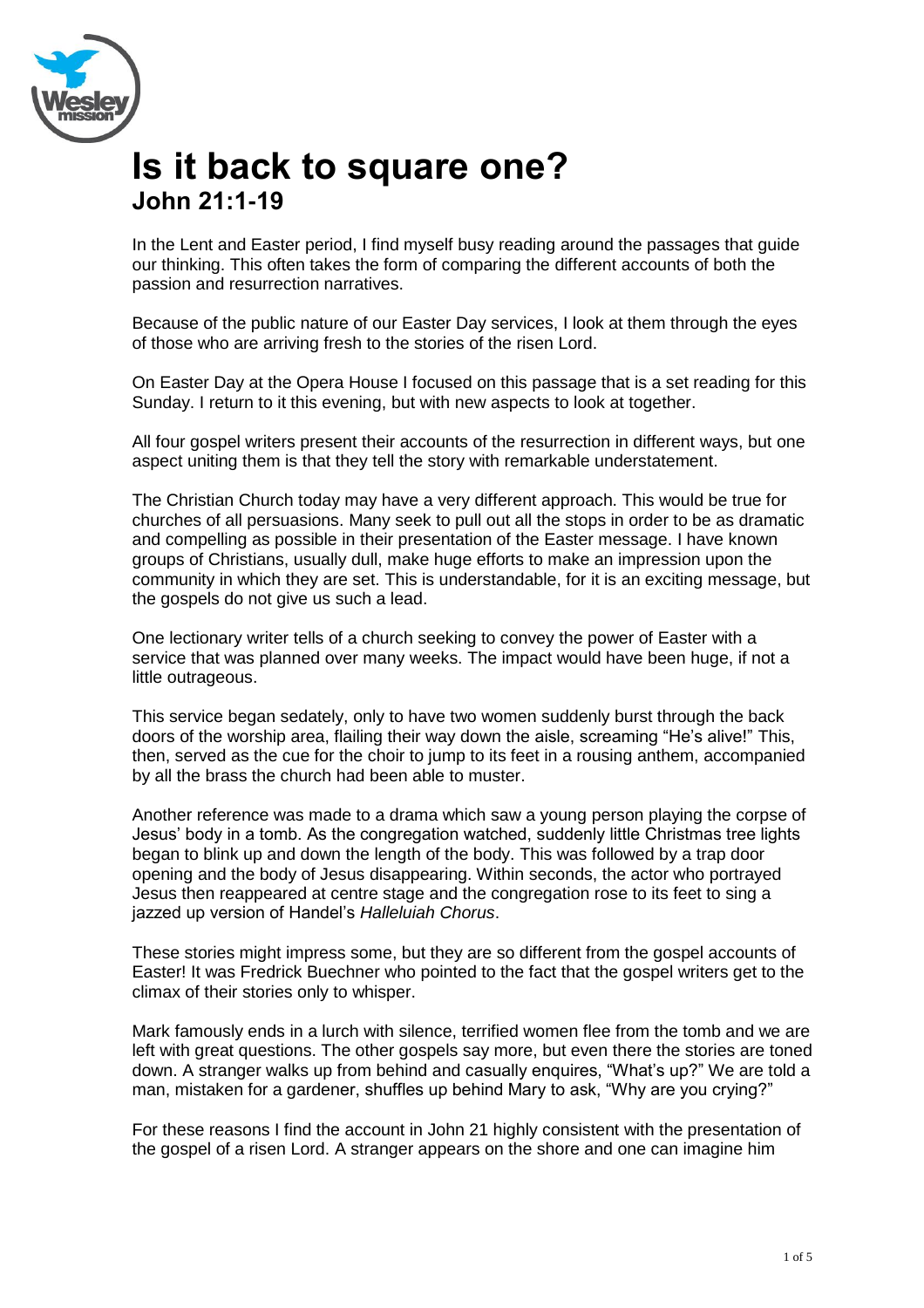

## **Is it back to square one? John 21:1-19**

In the Lent and Easter period, I find myself busy reading around the passages that guide our thinking. This often takes the form of comparing the different accounts of both the passion and resurrection narratives.

Because of the public nature of our Easter Day services, I look at them through the eyes of those who are arriving fresh to the stories of the risen Lord.

On Easter Day at the Opera House I focused on this passage that is a set reading for this Sunday. I return to it this evening, but with new aspects to look at together.

All four gospel writers present their accounts of the resurrection in different ways, but one aspect uniting them is that they tell the story with remarkable understatement.

The Christian Church today may have a very different approach. This would be true for churches of all persuasions. Many seek to pull out all the stops in order to be as dramatic and compelling as possible in their presentation of the Easter message. I have known groups of Christians, usually dull, make huge efforts to make an impression upon the community in which they are set. This is understandable, for it is an exciting message, but the gospels do not give us such a lead.

One lectionary writer tells of a church seeking to convey the power of Easter with a service that was planned over many weeks. The impact would have been huge, if not a little outrageous.

This service began sedately, only to have two women suddenly burst through the back doors of the worship area, flailing their way down the aisle, screaming "He's alive!" This, then, served as the cue for the choir to jump to its feet in a rousing anthem, accompanied by all the brass the church had been able to muster.

Another reference was made to a drama which saw a young person playing the corpse of Jesus' body in a tomb. As the congregation watched, suddenly little Christmas tree lights began to blink up and down the length of the body. This was followed by a trap door opening and the body of Jesus disappearing. Within seconds, the actor who portrayed Jesus then reappeared at centre stage and the congregation rose to its feet to sing a jazzed up version of Handel's *Halleluiah Chorus*.

These stories might impress some, but they are so different from the gospel accounts of Easter! It was Fredrick Buechner who pointed to the fact that the gospel writers get to the climax of their stories only to whisper.

Mark famously ends in a lurch with silence, terrified women flee from the tomb and we are left with great questions. The other gospels say more, but even there the stories are toned down. A stranger walks up from behind and casually enquires, "What's up?" We are told a man, mistaken for a gardener, shuffles up behind Mary to ask, "Why are you crying?"

For these reasons I find the account in John 21 highly consistent with the presentation of the gospel of a risen Lord. A stranger appears on the shore and one can imagine him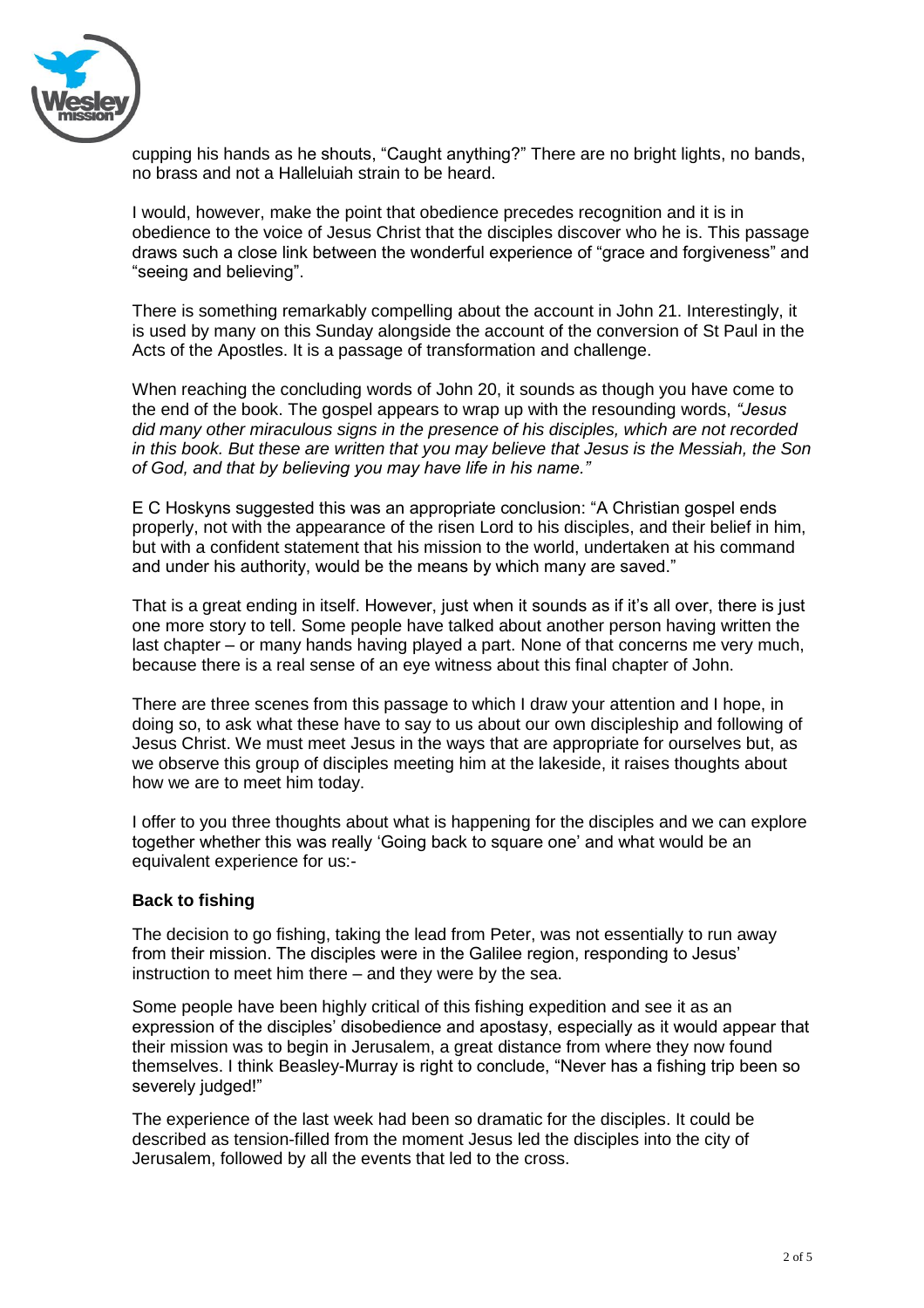

cupping his hands as he shouts, "Caught anything?" There are no bright lights, no bands, no brass and not a Halleluiah strain to be heard.

I would, however, make the point that obedience precedes recognition and it is in obedience to the voice of Jesus Christ that the disciples discover who he is. This passage draws such a close link between the wonderful experience of "grace and forgiveness" and "seeing and believing".

There is something remarkably compelling about the account in John 21. Interestingly, it is used by many on this Sunday alongside the account of the conversion of St Paul in the Acts of the Apostles. It is a passage of transformation and challenge.

When reaching the concluding words of John 20, it sounds as though you have come to the end of the book. The gospel appears to wrap up with the resounding words, *"Jesus did many other miraculous signs in the presence of his disciples, which are not recorded in this book. But these are written that you may believe that Jesus is the Messiah, the Son of God, and that by believing you may have life in his name."*

E C Hoskyns suggested this was an appropriate conclusion: "A Christian gospel ends properly, not with the appearance of the risen Lord to his disciples, and their belief in him, but with a confident statement that his mission to the world, undertaken at his command and under his authority, would be the means by which many are saved."

That is a great ending in itself. However, just when it sounds as if it's all over, there is just one more story to tell. Some people have talked about another person having written the last chapter – or many hands having played a part. None of that concerns me very much, because there is a real sense of an eye witness about this final chapter of John.

There are three scenes from this passage to which I draw your attention and I hope, in doing so, to ask what these have to say to us about our own discipleship and following of Jesus Christ. We must meet Jesus in the ways that are appropriate for ourselves but, as we observe this group of disciples meeting him at the lakeside, it raises thoughts about how we are to meet him today.

I offer to you three thoughts about what is happening for the disciples and we can explore together whether this was really 'Going back to square one' and what would be an equivalent experience for us:-

## **Back to fishing**

The decision to go fishing, taking the lead from Peter, was not essentially to run away from their mission. The disciples were in the Galilee region, responding to Jesus' instruction to meet him there – and they were by the sea.

Some people have been highly critical of this fishing expedition and see it as an expression of the disciples' disobedience and apostasy, especially as it would appear that their mission was to begin in Jerusalem, a great distance from where they now found themselves. I think Beasley-Murray is right to conclude, "Never has a fishing trip been so severely judged!"

The experience of the last week had been so dramatic for the disciples. It could be described as tension-filled from the moment Jesus led the disciples into the city of Jerusalem, followed by all the events that led to the cross.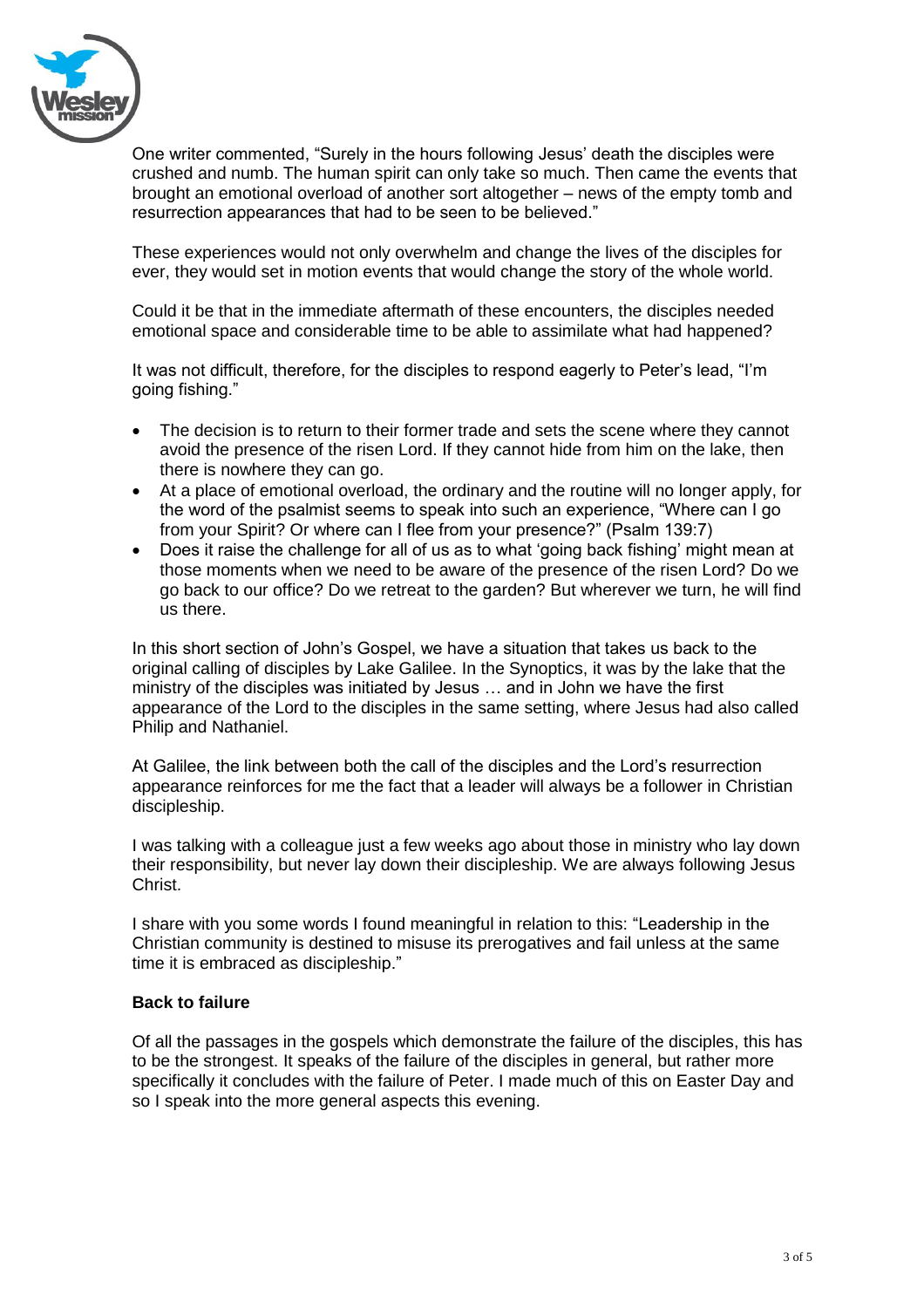

One writer commented, "Surely in the hours following Jesus' death the disciples were crushed and numb. The human spirit can only take so much. Then came the events that brought an emotional overload of another sort altogether – news of the empty tomb and resurrection appearances that had to be seen to be believed."

These experiences would not only overwhelm and change the lives of the disciples for ever, they would set in motion events that would change the story of the whole world.

Could it be that in the immediate aftermath of these encounters, the disciples needed emotional space and considerable time to be able to assimilate what had happened?

It was not difficult, therefore, for the disciples to respond eagerly to Peter's lead, "I'm going fishing."

- The decision is to return to their former trade and sets the scene where they cannot avoid the presence of the risen Lord. If they cannot hide from him on the lake, then there is nowhere they can go.
- At a place of emotional overload, the ordinary and the routine will no longer apply, for the word of the psalmist seems to speak into such an experience, "Where can I go from your Spirit? Or where can I flee from your presence?" (Psalm 139:7)
- Does it raise the challenge for all of us as to what 'going back fishing' might mean at those moments when we need to be aware of the presence of the risen Lord? Do we go back to our office? Do we retreat to the garden? But wherever we turn, he will find us there.

In this short section of John's Gospel, we have a situation that takes us back to the original calling of disciples by Lake Galilee. In the Synoptics, it was by the lake that the ministry of the disciples was initiated by Jesus … and in John we have the first appearance of the Lord to the disciples in the same setting, where Jesus had also called Philip and Nathaniel.

At Galilee, the link between both the call of the disciples and the Lord's resurrection appearance reinforces for me the fact that a leader will always be a follower in Christian discipleship.

I was talking with a colleague just a few weeks ago about those in ministry who lay down their responsibility, but never lay down their discipleship. We are always following Jesus Christ.

I share with you some words I found meaningful in relation to this: "Leadership in the Christian community is destined to misuse its prerogatives and fail unless at the same time it is embraced as discipleship."

## **Back to failure**

Of all the passages in the gospels which demonstrate the failure of the disciples, this has to be the strongest. It speaks of the failure of the disciples in general, but rather more specifically it concludes with the failure of Peter. I made much of this on Easter Day and so I speak into the more general aspects this evening.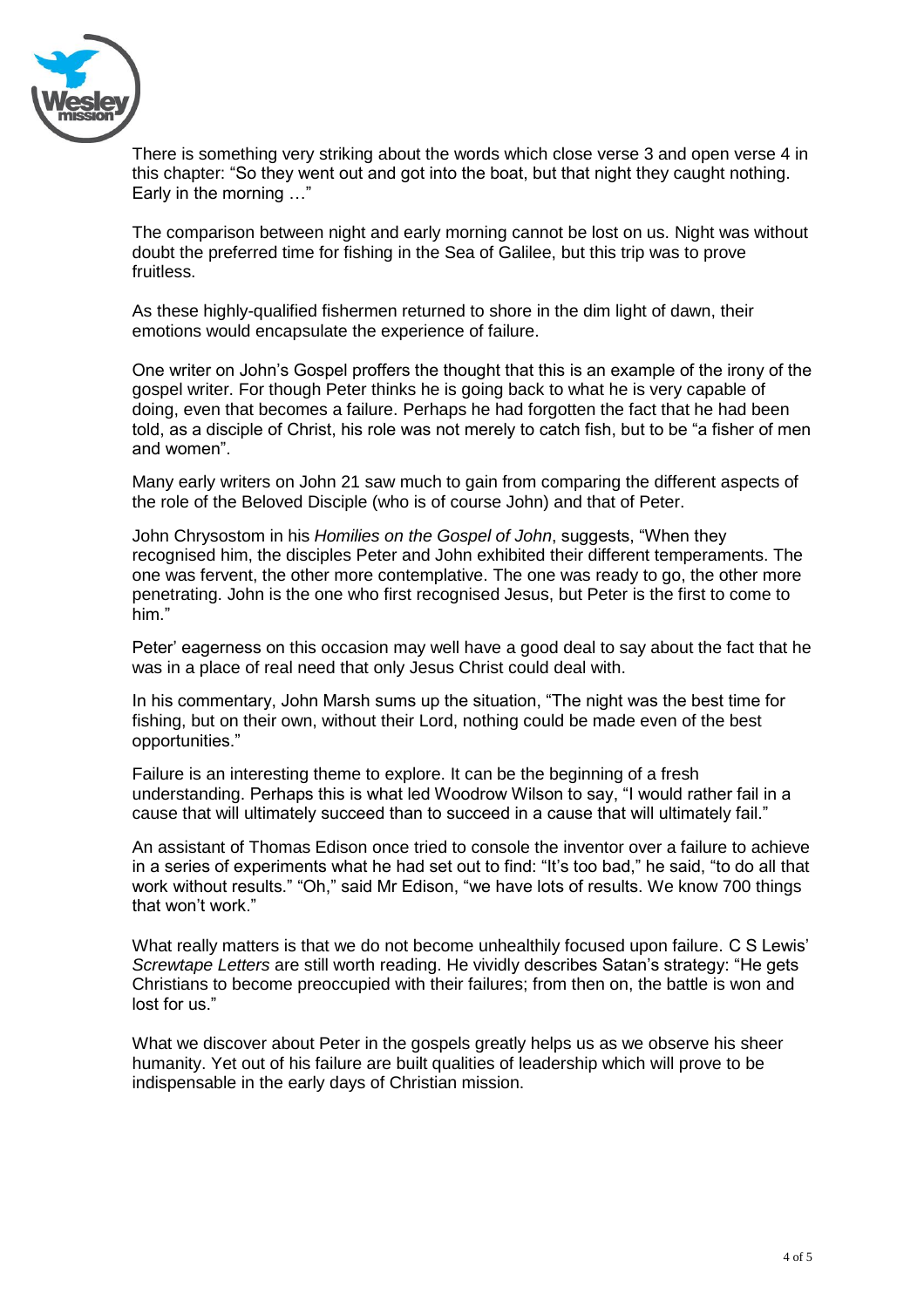

There is something very striking about the words which close verse 3 and open verse 4 in this chapter: "So they went out and got into the boat, but that night they caught nothing. Early in the morning …"

The comparison between night and early morning cannot be lost on us. Night was without doubt the preferred time for fishing in the Sea of Galilee, but this trip was to prove fruitless.

As these highly-qualified fishermen returned to shore in the dim light of dawn, their emotions would encapsulate the experience of failure.

One writer on John's Gospel proffers the thought that this is an example of the irony of the gospel writer. For though Peter thinks he is going back to what he is very capable of doing, even that becomes a failure. Perhaps he had forgotten the fact that he had been told, as a disciple of Christ, his role was not merely to catch fish, but to be "a fisher of men and women".

Many early writers on John 21 saw much to gain from comparing the different aspects of the role of the Beloved Disciple (who is of course John) and that of Peter.

John Chrysostom in his *Homilies on the Gospel of John*, suggests, "When they recognised him, the disciples Peter and John exhibited their different temperaments. The one was fervent, the other more contemplative. The one was ready to go, the other more penetrating. John is the one who first recognised Jesus, but Peter is the first to come to him."

Peter' eagerness on this occasion may well have a good deal to say about the fact that he was in a place of real need that only Jesus Christ could deal with.

In his commentary, John Marsh sums up the situation, "The night was the best time for fishing, but on their own, without their Lord, nothing could be made even of the best opportunities."

Failure is an interesting theme to explore. It can be the beginning of a fresh understanding. Perhaps this is what led Woodrow Wilson to say, "I would rather fail in a cause that will ultimately succeed than to succeed in a cause that will ultimately fail."

An assistant of Thomas Edison once tried to console the inventor over a failure to achieve in a series of experiments what he had set out to find: "It's too bad," he said, "to do all that work without results." "Oh," said Mr Edison, "we have lots of results. We know 700 things that won't work."

What really matters is that we do not become unhealthily focused upon failure. C S Lewis' *Screwtape Letters* are still worth reading. He vividly describes Satan's strategy: "He gets Christians to become preoccupied with their failures; from then on, the battle is won and lost for us."

What we discover about Peter in the gospels greatly helps us as we observe his sheer humanity. Yet out of his failure are built qualities of leadership which will prove to be indispensable in the early days of Christian mission.